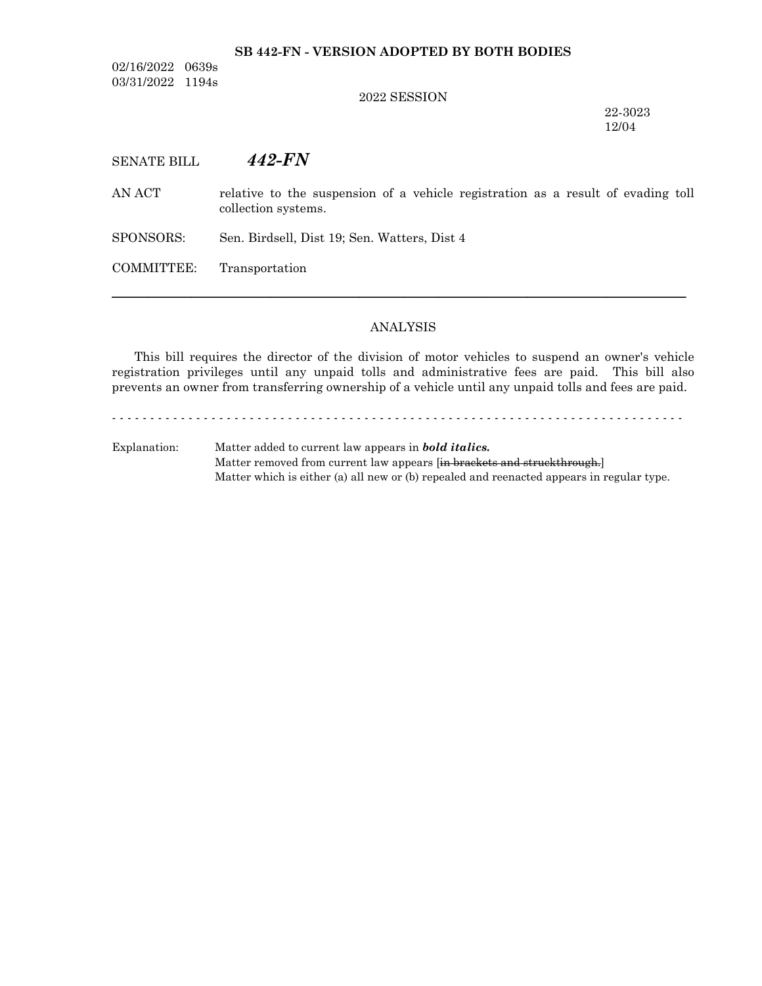# **SB 442-FN - VERSION ADOPTED BY BOTH BODIES**

02/16/2022 0639s 03/31/2022 1194s

## 2022 SESSION

22-3023 12/04

SENATE BILL *442-FN*

AN ACT relative to the suspension of a vehicle registration as a result of evading toll collection systems.

SPONSORS: Sen. Birdsell, Dist 19; Sen. Watters, Dist 4

COMMITTEE: Transportation

## ANALYSIS

─────────────────────────────────────────────────────────────────

This bill requires the director of the division of motor vehicles to suspend an owner's vehicle registration privileges until any unpaid tolls and administrative fees are paid. This bill also prevents an owner from transferring ownership of a vehicle until any unpaid tolls and fees are paid.

- - - - - - - - - - - - - - - - - - - - - - - - - - - - - - - - - - - - - - - - - - - - - - - - - - - - - - - - - - - - - - - - - - - - - - - - - - -

Explanation: Matter added to current law appears in *bold italics.* Matter removed from current law appears [in brackets and struckthrough.] Matter which is either (a) all new or (b) repealed and reenacted appears in regular type.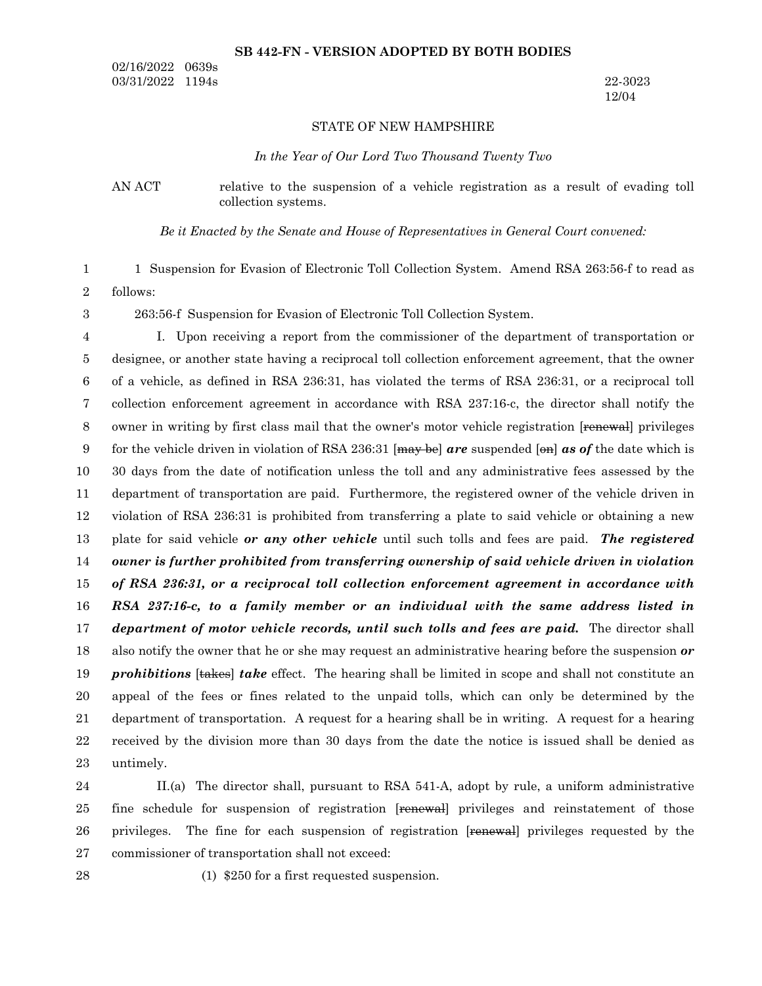## **SB 442-FN - VERSION ADOPTED BY BOTH BODIES**

02/16/2022 0639s 03/31/2022 1194s 22-3023

12/04

## STATE OF NEW HAMPSHIRE

*In the Year of Our Lord Two Thousand Twenty Two*

AN ACT relative to the suspension of a vehicle registration as a result of evading toll collection systems.

*Be it Enacted by the Senate and House of Representatives in General Court convened:*

1 Suspension for Evasion of Electronic Toll Collection System. Amend RSA 263:56-f to read as 1

follows: 2

3

263:56-f Suspension for Evasion of Electronic Toll Collection System.

I. Upon receiving a report from the commissioner of the department of transportation or designee, or another state having a reciprocal toll collection enforcement agreement, that the owner of a vehicle, as defined in RSA 236:31, has violated the terms of RSA 236:31, or a reciprocal toll collection enforcement agreement in accordance with RSA 237:16-c, the director shall notify the owner in writing by first class mail that the owner's motor vehicle registration [renewal] privileges for the vehicle driven in violation of RSA 236:31 [may be] *are* suspended [on] *as of* the date which is 30 days from the date of notification unless the toll and any administrative fees assessed by the department of transportation are paid. Furthermore, the registered owner of the vehicle driven in violation of RSA 236:31 is prohibited from transferring a plate to said vehicle or obtaining a new plate for said vehicle *or any other vehicle* until such tolls and fees are paid. *The registered owner is further prohibited from transferring ownership of said vehicle driven in violation of RSA 236:31, or a reciprocal toll collection enforcement agreement in accordance with RSA 237:16-c, to a family member or an individual with the same address listed in department of motor vehicle records, until such tolls and fees are paid.* The director shall also notify the owner that he or she may request an administrative hearing before the suspension *or prohibitions* [takes] *take* effect. The hearing shall be limited in scope and shall not constitute an appeal of the fees or fines related to the unpaid tolls, which can only be determined by the department of transportation. A request for a hearing shall be in writing. A request for a hearing received by the division more than 30 days from the date the notice is issued shall be denied as untimely. 4 5 6 7 8 9 10 11 12 13 14 15 16 17 18 19 20 21 22 23

II.(a) The director shall, pursuant to RSA 541-A, adopt by rule, a uniform administrative fine schedule for suspension of registration [renewal] privileges and reinstatement of those privileges. The fine for each suspension of registration [renewal] privileges requested by the commissioner of transportation shall not exceed: 24 25 26 27

28

(1) \$250 for a first requested suspension.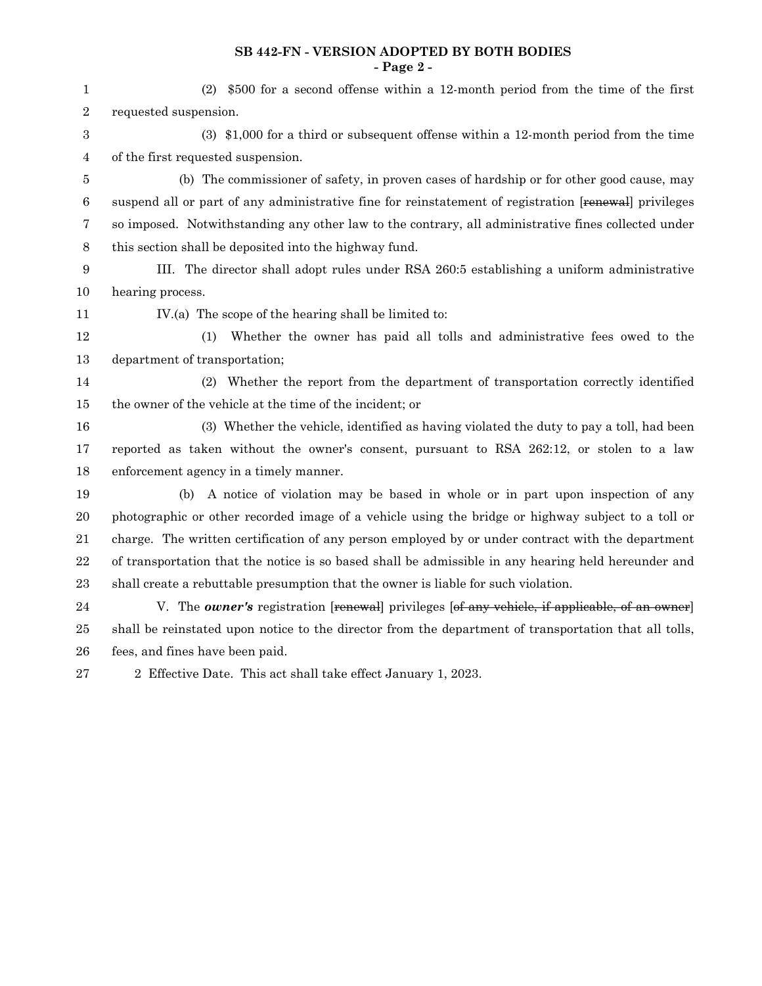# **SB 442-FN - VERSION ADOPTED BY BOTH BODIES - Page 2 -**

| 1                | (2) \$500 for a second offense within a 12-month period from the time of the first                          |  |  |  |  |
|------------------|-------------------------------------------------------------------------------------------------------------|--|--|--|--|
| $\boldsymbol{2}$ | requested suspension.                                                                                       |  |  |  |  |
| 3                | $(3)$ \$1,000 for a third or subsequent offense within a 12-month period from the time                      |  |  |  |  |
| 4                | of the first requested suspension.                                                                          |  |  |  |  |
| 5                | (b) The commissioner of safety, in proven cases of hardship or for other good cause, may                    |  |  |  |  |
| 6                | suspend all or part of any administrative fine for reinstatement of registration [renewal] privileges       |  |  |  |  |
| 7                | so imposed. Notwithstanding any other law to the contrary, all administrative fines collected under         |  |  |  |  |
| 8                | this section shall be deposited into the highway fund.                                                      |  |  |  |  |
| 9                | III. The director shall adopt rules under RSA 260:5 establishing a uniform administrative                   |  |  |  |  |
| 10               | hearing process.                                                                                            |  |  |  |  |
| 11               | IV.(a) The scope of the hearing shall be limited to:                                                        |  |  |  |  |
| 12               | Whether the owner has paid all tolls and administrative fees owed to the<br>(1)                             |  |  |  |  |
| 13               | department of transportation;                                                                               |  |  |  |  |
| 14               | (2) Whether the report from the department of transportation correctly identified                           |  |  |  |  |
| 15               | the owner of the vehicle at the time of the incident; or                                                    |  |  |  |  |
| 16               | (3) Whether the vehicle, identified as having violated the duty to pay a toll, had been                     |  |  |  |  |
| 17               | reported as taken without the owner's consent, pursuant to RSA 262:12, or stolen to a law                   |  |  |  |  |
| 18               | enforcement agency in a timely manner.                                                                      |  |  |  |  |
| 19               | A notice of violation may be based in whole or in part upon inspection of any<br>(b)                        |  |  |  |  |
| 20               | photographic or other recorded image of a vehicle using the bridge or highway subject to a toll or          |  |  |  |  |
| 21               | charge. The written certification of any person employed by or under contract with the department           |  |  |  |  |
| 22               | of transportation that the notice is so based shall be admissible in any hearing held hereunder and         |  |  |  |  |
| 23               | shall create a rebuttable presumption that the owner is liable for such violation.                          |  |  |  |  |
| 24               | V. The <b><i>owner's</i></b> registration [renewal] privileges [of any vehicle, if applicable, of an owner] |  |  |  |  |
| 25               | shall be reinstated upon notice to the director from the department of transportation that all tolls,       |  |  |  |  |
| 26               | fees, and fines have been paid.                                                                             |  |  |  |  |
|                  |                                                                                                             |  |  |  |  |

2 Effective Date. This act shall take effect January 1, 2023. 27